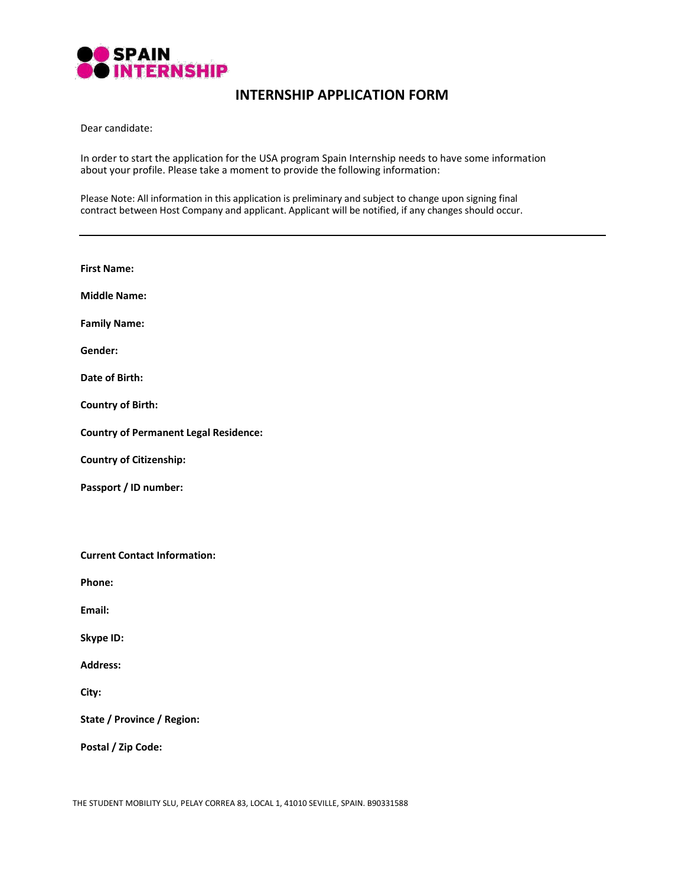

# **INTERNSHIP APPLICATION FORM**

Dear candidate:

In order to start the application for the USA program Spain Internship needs to have some information about your profile. Please take a moment to provide the following information:

Please Note: All information in this application is preliminary and subject to change upon signing final contract between Host Company and applicant. Applicant will be notified, if any changes should occur.

| <b>First Name:</b>                           |
|----------------------------------------------|
| <b>Middle Name:</b>                          |
| <b>Family Name:</b>                          |
| Gender:                                      |
| Date of Birth:                               |
| <b>Country of Birth:</b>                     |
| <b>Country of Permanent Legal Residence:</b> |
| <b>Country of Citizenship:</b>               |
| Passport / ID number:                        |
|                                              |
| <b>Current Contact Information:</b>          |
| Phone:                                       |
| Email:                                       |
| Skype ID:                                    |
| <b>Address:</b>                              |
| City:                                        |
| State / Province / Region:                   |
| Postal / Zip Code:                           |
|                                              |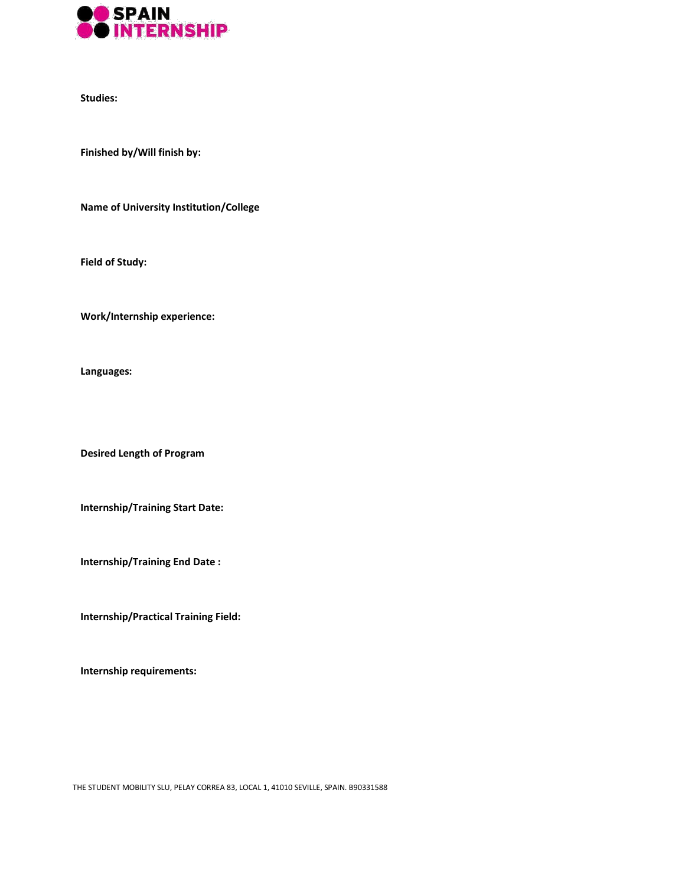

**Studies:**

**Finished by/Will finish by:**

**Name of University Institution/College**

**Field of Study:**

**Work/Internship experience:**

**Languages:**

**Desired Length of Program**

**Internship/Training Start Date:**

**Internship/Training End Date :**

**Internship/Practical Training Field:**

**Internship requirements:**

THE STUDENT MOBILITY SLU, PELAY CORREA 83, LOCAL 1, 41010 SEVILLE, SPAIN. B90331588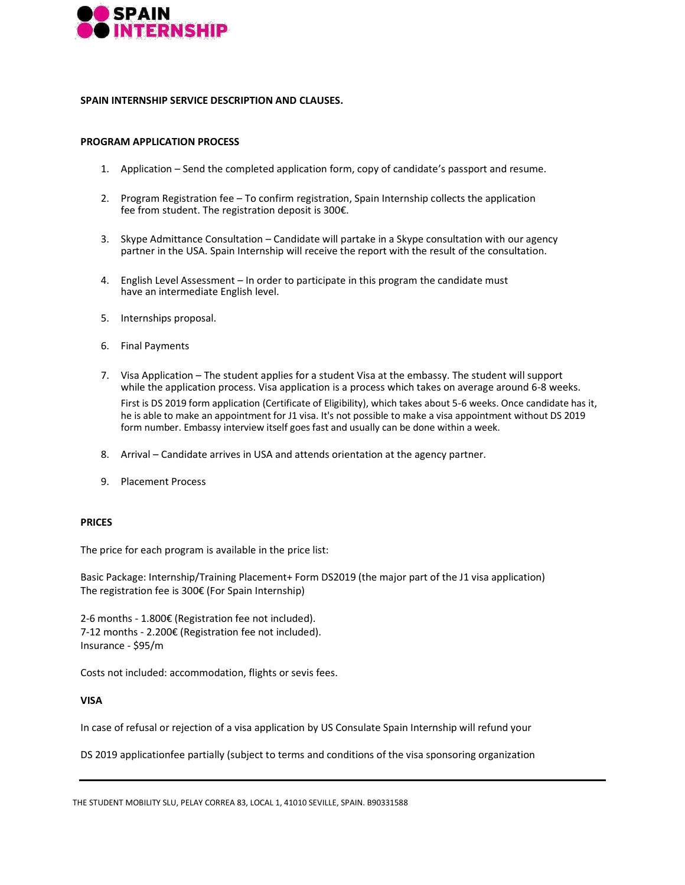

## **SPAIN INTERNSHIP SERVICE DESCRIPTION AND CLAUSES.**

## **PROGRAM APPLICATION PROCESS**

- 1. Application Send the completed application form, copy of candidate's passport and resume.
- 2. Program Registration fee To confirm registration, Spain Internship collects the application fee from student. The registration deposit is 300€.
- 3. Skype Admittance Consultation Candidate will partake in a Skype consultation with our agency partner in the USA. Spain Internship will receive the report with the result of the consultation.
- 4. English Level Assessment In order to participate in this program the candidate must have an intermediate English level.
- 5. Internships proposal.
- 6. Final Payments
- 7. Visa Application The student applies for a student Visa at the embassy. The student will support while the application process. Visa application is a process which takes on average around 6-8 weeks. First is DS 2019 form application (Certificate of Eligibility), which takes about 5-6 weeks. Once candidate has it, he is able to make an appointment for J1 visa. It's not possible to make a visa appointment without DS 2019 form number. Embassy interview itself goes fast and usually can be done within a week.
- 8. Arrival Candidate arrives in USA and attends orientation at the agency partner.
- 9. Placement Process

## **PRICES**

The price for each program is available in the price list:

Basic Package: Internship/Training Placement+ Form DS2019 (the major part of the J1 visa application) The registration fee is 300€ (For Spain Internship)

2-6 months - 1.800€ (Registration fee not included). 7-12 months - 2.200€ (Registration fee not included). Insurance - \$95/m

Costs not included: accommodation, flights or sevis fees.

## **VISA**

In case of refusal or rejection of a visa application by US Consulate Spain Internship will refund your

DS 2019 applicationfee partially (subject to terms and conditions of the visa sponsoring organization